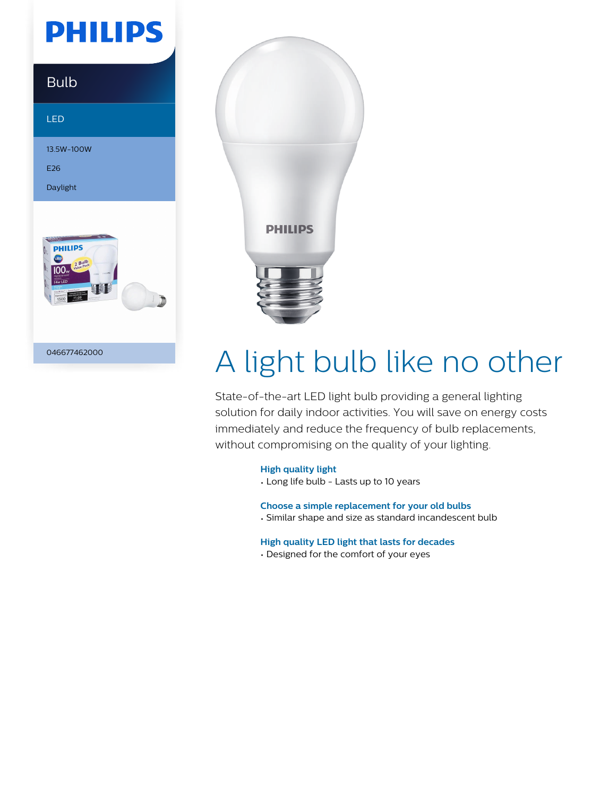# **PHILIPS**

### Bulb

LED

13.5W-100W

E26

Daylight



046677462000



# A light bulb like no other

State-of-the-art LED light bulb providing a general lighting solution for daily indoor activities. You will save on energy costs immediately and reduce the frequency of bulb replacements, without compromising on the quality of your lighting.

#### **High quality light**

• Long life bulb - Lasts up to 10 years

**Choose a simple replacement for your old bulbs**

• Similar shape and size as standard incandescent bulb

#### **High quality LED light that lasts for decades**

• Designed for the comfort of your eyes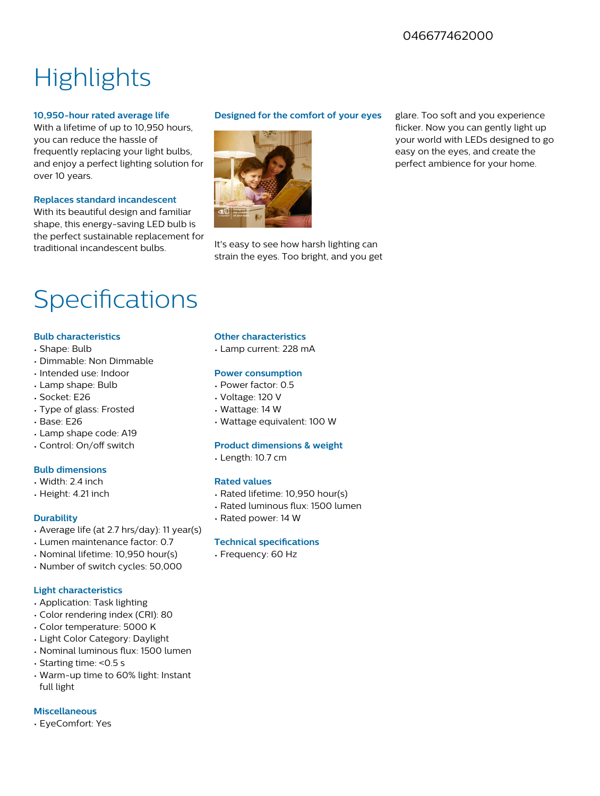### 046677462000

# **Highlights**

#### **10,950-hour rated average life**

With a lifetime of up to 10,950 hours, you can reduce the hassle of frequently replacing your light bulbs, and enjoy a perfect lighting solution for over 10 years.

#### **Replaces standard incandescent**

With its beautiful design and familiar shape, this energy-saving LED bulb is the perfect sustainable replacement for traditional incandescent bulbs.

#### **Designed for the comfort of your eyes**



It's easy to see how harsh lighting can strain the eyes. Too bright, and you get glare. Too soft and you experience flicker. Now you can gently light up your world with LEDs designed to go easy on the eyes, and create the perfect ambience for your home.

## Specifications

#### **Bulb characteristics**

- Shape: Bulb
- Dimmable: Non Dimmable
- Intended use: Indoor
- Lamp shape: Bulb
- Socket: E26
- Type of glass: Frosted
- Base: E26
- Lamp shape code: A19
- Control: On/off switch

#### **Bulb dimensions**

- Width: 2.4 inch
- Height: 4.21 inch

#### **Durability**

- Average life (at 2.7 hrs/day): 11 year(s)
- Lumen maintenance factor: 0.7
- Nominal lifetime: 10,950 hour(s)
- Number of switch cycles: 50,000

#### **Light characteristics**

- Application: Task lighting
- Color rendering index (CRI): 80
- Color temperature: 5000 K
- Light Color Category: Daylight
- Nominal luminous flux: 1500 lumen
- Starting time: <0.5 s
- Warm-up time to 60% light: Instant full light

#### **Miscellaneous**

• EyeComfort: Yes

#### **Other characteristics**

• Lamp current: 228 mA

#### **Power consumption**

- Power factor: 0.5
- Voltage: 120 V
- Wattage: 14 W
- Wattage equivalent: 100 W

#### **Product dimensions & weight**

• Length: 10.7 cm

#### **Rated values**

- Rated lifetime: 10,950 hour(s)
- Rated luminous flux: 1500 lumen
- Rated power: 14 W

#### **Technical specifications**

• Frequency: 60 Hz